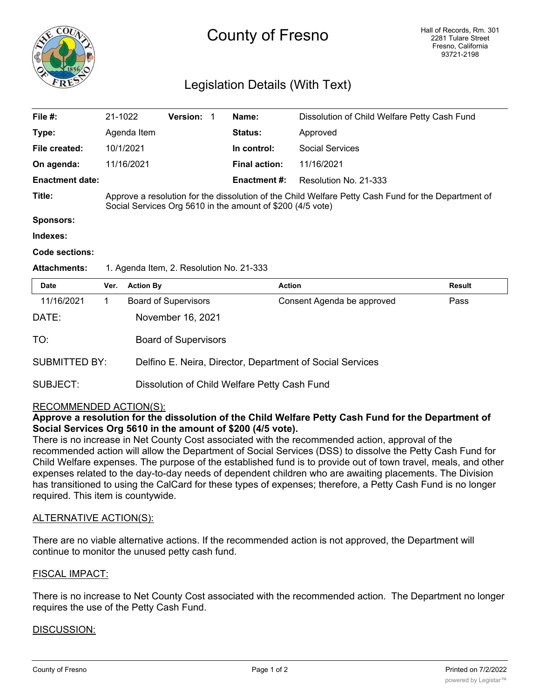

# County of Fresno

# Legislation Details (With Text)

| File #:                | 21-1022     | <b>Version:</b> |                                                                                                                                                                   | Name:                | Dissolution of Child Welfare Petty Cash Fund |  |
|------------------------|-------------|-----------------|-------------------------------------------------------------------------------------------------------------------------------------------------------------------|----------------------|----------------------------------------------|--|
| Type:                  | Agenda Item |                 |                                                                                                                                                                   | <b>Status:</b>       | Approved                                     |  |
| File created:          | 10/1/2021   |                 |                                                                                                                                                                   | In control:          | Social Services                              |  |
| On agenda:             | 11/16/2021  |                 |                                                                                                                                                                   | <b>Final action:</b> | 11/16/2021                                   |  |
| <b>Enactment date:</b> |             |                 |                                                                                                                                                                   | Enactment #:         | Resolution No. 21-333                        |  |
| Title:                 |             |                 | Approve a resolution for the dissolution of the Child Welfare Petty Cash Fund for the Department of<br>Social Services Org 5610 in the amount of \$200 (4/5 vote) |                      |                                              |  |
| <b>Sponsors:</b>       |             |                 |                                                                                                                                                                   |                      |                                              |  |
| Indexes:               |             |                 |                                                                                                                                                                   |                      |                                              |  |
|                        |             |                 |                                                                                                                                                                   |                      |                                              |  |

#### **Code sections:**

#### Attachments: 1. Agenda Item, 2. Resolution No. 21-333

| <b>Date</b>          | Ver. | <b>Action By</b>                                          | <b>Action</b>              | <b>Result</b> |  |  |  |
|----------------------|------|-----------------------------------------------------------|----------------------------|---------------|--|--|--|
| 11/16/2021           |      | <b>Board of Supervisors</b>                               | Consent Agenda be approved | Pass          |  |  |  |
| DATE:                |      | November 16, 2021                                         |                            |               |  |  |  |
| TO:                  |      | <b>Board of Supervisors</b>                               |                            |               |  |  |  |
| <b>SUBMITTED BY:</b> |      | Delfino E. Neira, Director, Department of Social Services |                            |               |  |  |  |
| SUBJECT:             |      | Dissolution of Child Welfare Petty Cash Fund              |                            |               |  |  |  |

## RECOMMENDED ACTION(S):

# **Approve a resolution for the dissolution of the Child Welfare Petty Cash Fund for the Department of Social Services Org 5610 in the amount of \$200 (4/5 vote).**

There is no increase in Net County Cost associated with the recommended action, approval of the recommended action will allow the Department of Social Services (DSS) to dissolve the Petty Cash Fund for Child Welfare expenses. The purpose of the established fund is to provide out of town travel, meals, and other expenses related to the day-to-day needs of dependent children who are awaiting placements. The Division has transitioned to using the CalCard for these types of expenses; therefore, a Petty Cash Fund is no longer required. This item is countywide.

## ALTERNATIVE ACTION(S):

There are no viable alternative actions. If the recommended action is not approved, the Department will continue to monitor the unused petty cash fund.

## FISCAL IMPACT:

There is no increase to Net County Cost associated with the recommended action. The Department no longer requires the use of the Petty Cash Fund.

## DISCUSSION: